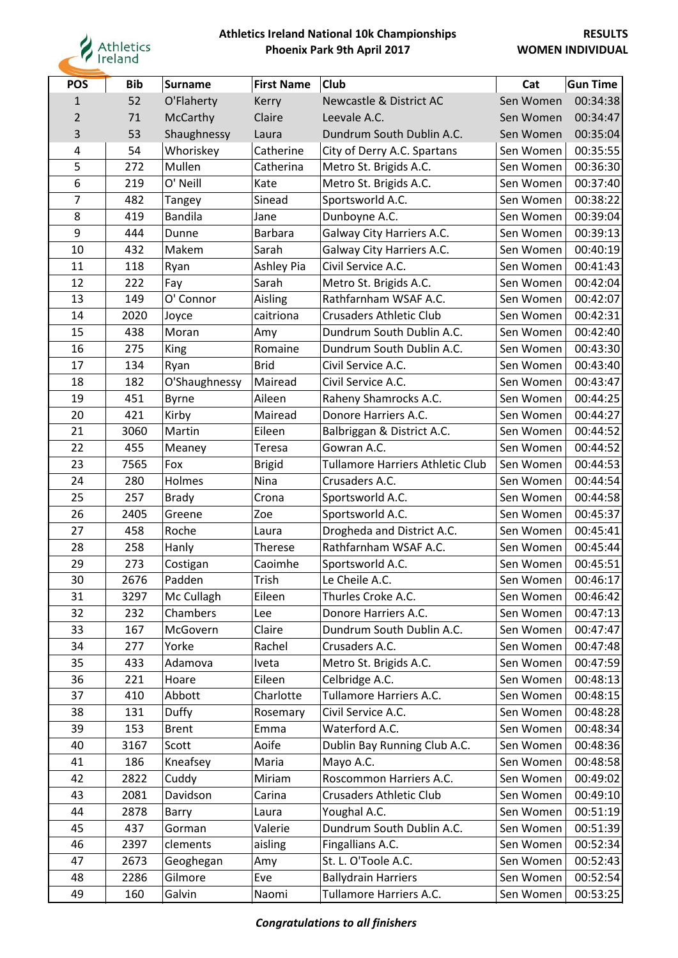

| <b>POS</b>     | <b>Bib</b> | <b>Surname</b> | <b>First Name</b> | <b>Club</b>                             | Cat       | <b>Gun Time</b> |
|----------------|------------|----------------|-------------------|-----------------------------------------|-----------|-----------------|
| $\mathbf{1}$   | 52         | O'Flaherty     | Kerry             | <b>Newcastle &amp; District AC</b>      | Sen Women | 00:34:38        |
| $\overline{2}$ | 71         | McCarthy       | Claire            | Leevale A.C.                            | Sen Women | 00:34:47        |
| 3              | 53         | Shaughnessy    | Laura             | Dundrum South Dublin A.C.               | Sen Women | 00:35:04        |
| 4              | 54         | Whoriskey      | Catherine         | City of Derry A.C. Spartans             | Sen Women | 00:35:55        |
| 5              | 272        | Mullen         | Catherina         | Metro St. Brigids A.C.                  | Sen Women | 00:36:30        |
| 6              | 219        | O' Neill       | Kate              | Metro St. Brigids A.C.                  | Sen Women | 00:37:40        |
| 7              | 482        | Tangey         | Sinead            | Sportsworld A.C.                        | Sen Women | 00:38:22        |
| 8              | 419        | <b>Bandila</b> | Jane              | Dunboyne A.C.                           | Sen Women | 00:39:04        |
| 9              | 444        | Dunne          | <b>Barbara</b>    | Galway City Harriers A.C.               | Sen Women | 00:39:13        |
| 10             | 432        | Makem          | Sarah             | Galway City Harriers A.C.               | Sen Women | 00:40:19        |
| 11             | 118        | Ryan           | Ashley Pia        | Civil Service A.C.                      | Sen Women | 00:41:43        |
| 12             | 222        | Fay            | Sarah             | Metro St. Brigids A.C.                  | Sen Women | 00:42:04        |
| 13             | 149        | O' Connor      | Aisling           | Rathfarnham WSAF A.C.                   | Sen Women | 00:42:07        |
| 14             | 2020       | Joyce          | caitriona         | <b>Crusaders Athletic Club</b>          | Sen Women | 00:42:31        |
| 15             | 438        | Moran          | Amy               | Dundrum South Dublin A.C.               | Sen Women | 00:42:40        |
| 16             | 275        | <b>King</b>    | Romaine           | Dundrum South Dublin A.C.               | Sen Women | 00:43:30        |
| 17             | 134        | Ryan           | <b>Brid</b>       | Civil Service A.C.                      | Sen Women | 00:43:40        |
| 18             | 182        | O'Shaughnessy  | Mairead           | Civil Service A.C.                      | Sen Women | 00:43:47        |
| 19             | 451        | <b>Byrne</b>   | Aileen            | Raheny Shamrocks A.C.                   | Sen Women | 00:44:25        |
| 20             | 421        | Kirby          | Mairead           | Donore Harriers A.C.                    | Sen Women | 00:44:27        |
| 21             | 3060       | Martin         | Eileen            | Balbriggan & District A.C.              | Sen Women | 00:44:52        |
| 22             | 455        | Meaney         | Teresa            | Gowran A.C.                             | Sen Women | 00:44:52        |
| 23             | 7565       | Fox            | <b>Brigid</b>     | <b>Tullamore Harriers Athletic Club</b> | Sen Women | 00:44:53        |
| 24             | 280        | Holmes         | Nina              | Crusaders A.C.                          | Sen Women | 00:44:54        |
| 25             | 257        | <b>Brady</b>   | Crona             | Sportsworld A.C.                        | Sen Women | 00:44:58        |
| 26             | 2405       | Greene         | Zoe               | Sportsworld A.C.                        | Sen Women | 00:45:37        |
| 27             | 458        | Roche          | Laura             | Drogheda and District A.C.              | Sen Women | 00:45:41        |
| 28             | 258        | Hanly          | Therese           | Rathfarnham WSAF A.C.                   | Sen Women | 00:45:44        |
| 29             | 273        | Costigan       | Caoimhe           | Sportsworld A.C.                        | Sen Women | 00:45:51        |
| 30             | 2676       | Padden         | Trish             | Le Cheile A.C.                          | Sen Women | 00:46:17        |
| 31             | 3297       | Mc Cullagh     | Eileen            | Thurles Croke A.C.                      | Sen Women | 00:46:42        |
| 32             | 232        | Chambers       | Lee               | Donore Harriers A.C.                    | Sen Women | 00:47:13        |
| 33             | 167        | McGovern       | Claire            | Dundrum South Dublin A.C.               | Sen Women | 00:47:47        |
| 34             | 277        | Yorke          | Rachel            | Crusaders A.C.                          | Sen Women | 00:47:48        |
| 35             | 433        | Adamova        | Iveta             | Metro St. Brigids A.C.                  | Sen Women | 00:47:59        |
| 36             | 221        | Hoare          | Eileen            | Celbridge A.C.                          | Sen Women | 00:48:13        |
| 37             | 410        | Abbott         | Charlotte         | Tullamore Harriers A.C.                 | Sen Women | 00:48:15        |
| 38             | 131        | Duffy          | Rosemary          | Civil Service A.C.                      | Sen Women | 00:48:28        |
| 39             | 153        | <b>Brent</b>   | Emma              | Waterford A.C.                          | Sen Women | 00:48:34        |
| 40             | 3167       | Scott          | Aoife             | Dublin Bay Running Club A.C.            | Sen Women | 00:48:36        |
| 41             | 186        | Kneafsey       | Maria             | Mayo A.C.                               | Sen Women | 00:48:58        |
| 42             | 2822       | Cuddy          | Miriam            | Roscommon Harriers A.C.                 | Sen Women | 00:49:02        |
| 43             | 2081       | Davidson       | Carina            | <b>Crusaders Athletic Club</b>          | Sen Women | 00:49:10        |
| 44             | 2878       | Barry          | Laura             | Youghal A.C.                            | Sen Women | 00:51:19        |
| 45             | 437        | Gorman         | Valerie           | Dundrum South Dublin A.C.               | Sen Women | 00:51:39        |
| 46             | 2397       | clements       | aisling           | Fingallians A.C.                        | Sen Women | 00:52:34        |
| 47             | 2673       | Geoghegan      | Amy               | St. L. O'Toole A.C.                     | Sen Women | 00:52:43        |
| 48             | 2286       | Gilmore        | Eve               | <b>Ballydrain Harriers</b>              | Sen Women | 00:52:54        |
| 49             | 160        | Galvin         | Naomi             | Tullamore Harriers A.C.                 | Sen Women | 00:53:25        |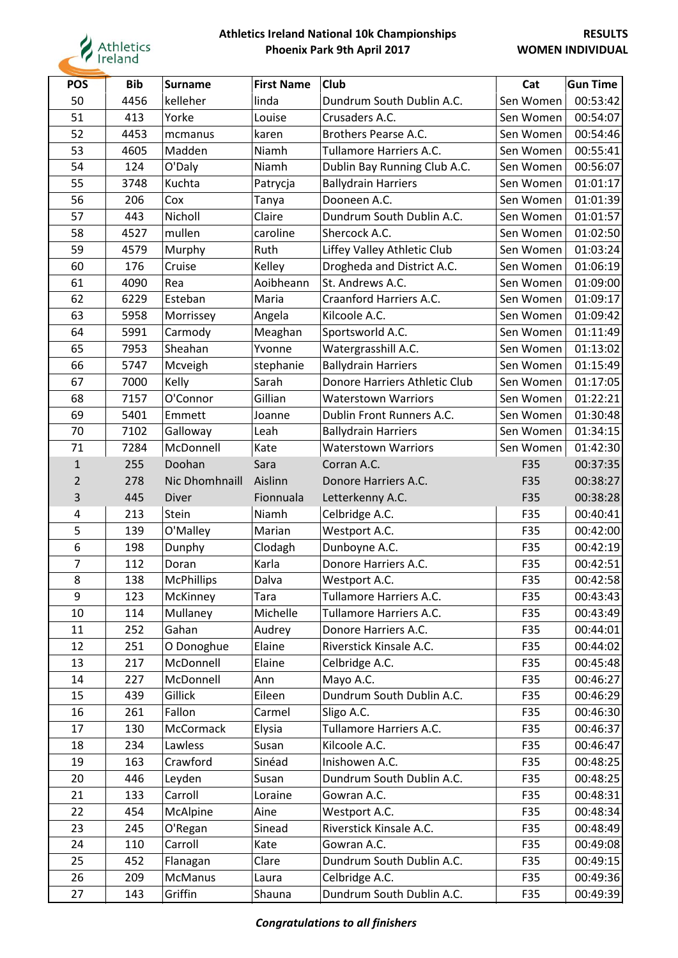

| <b>POS</b>     | <b>Bib</b> | <b>Surname</b>    | <b>First Name</b> | <b>Club</b>                   | Cat       | <b>Gun Time</b> |
|----------------|------------|-------------------|-------------------|-------------------------------|-----------|-----------------|
| 50             | 4456       | kelleher          | linda             | Dundrum South Dublin A.C.     | Sen Women | 00:53:42        |
| 51             | 413        | Yorke             | Louise            | Crusaders A.C.                | Sen Women | 00:54:07        |
| 52             | 4453       | mcmanus           | karen             | Brothers Pearse A.C.          | Sen Women | 00:54:46        |
| 53             | 4605       | Madden            | Niamh             | Tullamore Harriers A.C.       | Sen Women | 00:55:41        |
| 54             | 124        | O'Daly            | Niamh             | Dublin Bay Running Club A.C.  | Sen Women | 00:56:07        |
| 55             | 3748       | Kuchta            | Patrycja          | <b>Ballydrain Harriers</b>    | Sen Women | 01:01:17        |
| 56             | 206        | Cox               | Tanya             | Dooneen A.C.                  | Sen Women | 01:01:39        |
| 57             | 443        | Nicholl           | Claire            | Dundrum South Dublin A.C.     | Sen Women | 01:01:57        |
| 58             | 4527       | mullen            | caroline          | Shercock A.C.                 | Sen Women | 01:02:50        |
| 59             | 4579       | Murphy            | Ruth              | Liffey Valley Athletic Club   | Sen Women | 01:03:24        |
| 60             | 176        | Cruise            | Kelley            | Drogheda and District A.C.    | Sen Women | 01:06:19        |
| 61             | 4090       | Rea               | Aoibheann         | St. Andrews A.C.              | Sen Women | 01:09:00        |
| 62             | 6229       | Esteban           | Maria             | Craanford Harriers A.C.       | Sen Women | 01:09:17        |
| 63             | 5958       | Morrissey         | Angela            | Kilcoole A.C.                 | Sen Women | 01:09:42        |
| 64             | 5991       | Carmody           | Meaghan           | Sportsworld A.C.              | Sen Women | 01:11:49        |
| 65             | 7953       | Sheahan           | Yvonne            | Watergrasshill A.C.           | Sen Women | 01:13:02        |
| 66             | 5747       | Mcveigh           | stephanie         | <b>Ballydrain Harriers</b>    | Sen Women | 01:15:49        |
| 67             | 7000       | Kelly             | Sarah             | Donore Harriers Athletic Club | Sen Women | 01:17:05        |
| 68             | 7157       | O'Connor          | Gillian           | <b>Waterstown Warriors</b>    | Sen Women | 01:22:21        |
| 69             | 5401       | Emmett            | Joanne            | Dublin Front Runners A.C.     | Sen Women | 01:30:48        |
| 70             | 7102       | Galloway          | Leah              | <b>Ballydrain Harriers</b>    | Sen Women | 01:34:15        |
| 71             | 7284       | McDonnell         | Kate              | <b>Waterstown Warriors</b>    | Sen Women | 01:42:30        |
| $\mathbf{1}$   | 255        | Doohan            | Sara              | Corran A.C.                   | F35       | 00:37:35        |
| $\overline{2}$ | 278        | Nic Dhomhnaill    | Aislinn           | Donore Harriers A.C.          | F35       | 00:38:27        |
| 3              | 445        | <b>Diver</b>      | Fionnuala         | Letterkenny A.C.              | F35       | 00:38:28        |
| 4              | 213        | Stein             | Niamh             | Celbridge A.C.                | F35       | 00:40:41        |
| 5              | 139        | O'Malley          | Marian            | Westport A.C.                 | F35       | 00:42:00        |
| 6              | 198        | Dunphy            | Clodagh           | Dunboyne A.C.                 | F35       | 00:42:19        |
| 7              | 112        | Doran             | Karla             | Donore Harriers A.C.          | F35       | 00:42:51        |
| 8              | 138        | <b>McPhillips</b> | Dalva             | Westport A.C.                 | F35       | 00:42:58        |
| 9              | 123        | McKinney          | Tara              | Tullamore Harriers A.C.       | F35       | 00:43:43        |
| 10             | 114        | Mullaney          | Michelle          | Tullamore Harriers A.C.       | F35       | 00:43:49        |
| 11             | 252        | Gahan             | Audrey            | Donore Harriers A.C.          | F35       | 00:44:01        |
| 12             | 251        | O Donoghue        | Elaine            | Riverstick Kinsale A.C.       | F35       | 00:44:02        |
| 13             | 217        | McDonnell         | Elaine            | Celbridge A.C.                | F35       | 00:45:48        |
| 14             | 227        | McDonnell         | Ann               | Mayo A.C.                     | F35       | 00:46:27        |
| 15             | 439        | Gillick           | Eileen            | Dundrum South Dublin A.C.     | F35       | 00:46:29        |
| 16             | 261        | Fallon            | Carmel            | Sligo A.C.                    | F35       | 00:46:30        |
| 17             | 130        | McCormack         | Elysia            | Tullamore Harriers A.C.       | F35       | 00:46:37        |
| 18             | 234        | Lawless           | Susan             | Kilcoole A.C.                 | F35       | 00:46:47        |
| 19             | 163        | Crawford          | Sinéad            | Inishowen A.C.                | F35       | 00:48:25        |
| 20             | 446        | Leyden            | Susan             | Dundrum South Dublin A.C.     | F35       | 00:48:25        |
| 21             | 133        | Carroll           | Loraine           | Gowran A.C.                   | F35       | 00:48:31        |
| 22             | 454        | McAlpine          | Aine              | Westport A.C.                 | F35       | 00:48:34        |
| 23             | 245        | O'Regan           | Sinead            | Riverstick Kinsale A.C.       | F35       | 00:48:49        |
| 24             | 110        | Carroll           | Kate              | Gowran A.C.                   | F35       | 00:49:08        |
| 25             | 452        | Flanagan          | Clare             | Dundrum South Dublin A.C.     | F35       | 00:49:15        |
| 26             | 209        | McManus           | Laura             | Celbridge A.C.                | F35       | 00:49:36        |
| 27             | 143        | Griffin           | Shauna            | Dundrum South Dublin A.C.     | F35       | 00:49:39        |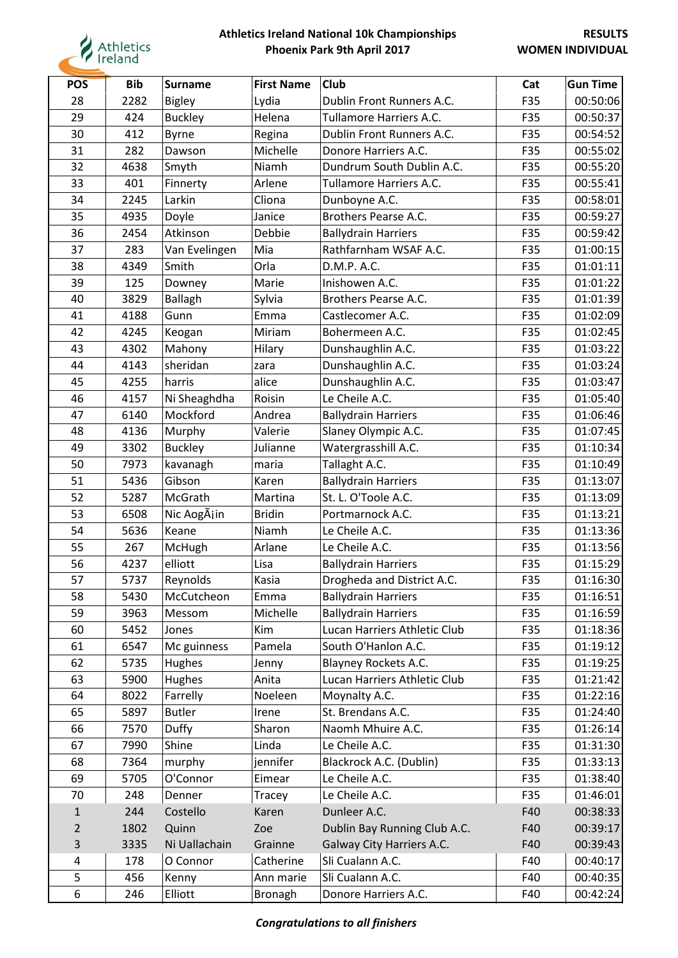

| <b>POS</b>     | <b>Bib</b> | <b>Surname</b> | <b>First Name</b> | <b>Club</b>                  | Cat | <b>Gun Time</b> |
|----------------|------------|----------------|-------------------|------------------------------|-----|-----------------|
| 28             | 2282       | <b>Bigley</b>  | Lydia             | Dublin Front Runners A.C.    | F35 | 00:50:06        |
| 29             | 424        | <b>Buckley</b> | Helena            | Tullamore Harriers A.C.      | F35 | 00:50:37        |
| 30             | 412        | <b>Byrne</b>   | Regina            | Dublin Front Runners A.C.    | F35 | 00:54:52        |
| 31             | 282        | Dawson         | Michelle          | Donore Harriers A.C.         | F35 | 00:55:02        |
| 32             | 4638       | Smyth          | Niamh             | Dundrum South Dublin A.C.    | F35 | 00:55:20        |
| 33             | 401        | Finnerty       | Arlene            | Tullamore Harriers A.C.      | F35 | 00:55:41        |
| 34             | 2245       | Larkin         | Cliona            | Dunboyne A.C.                | F35 | 00:58:01        |
| 35             | 4935       | Doyle          | Janice            | Brothers Pearse A.C.         | F35 | 00:59:27        |
| 36             | 2454       | Atkinson       | Debbie            | <b>Ballydrain Harriers</b>   | F35 | 00:59:42        |
| 37             | 283        | Van Evelingen  | Mia               | Rathfarnham WSAF A.C.        | F35 | 01:00:15        |
| 38             | 4349       | Smith          | Orla              | D.M.P. A.C.                  | F35 | 01:01:11        |
| 39             | 125        | Downey         | Marie             | Inishowen A.C.               | F35 | 01:01:22        |
| 40             | 3829       | <b>Ballagh</b> | Sylvia            | Brothers Pearse A.C.         | F35 | 01:01:39        |
| 41             | 4188       | Gunn           | Emma              | Castlecomer A.C.             | F35 | 01:02:09        |
| 42             | 4245       | Keogan         | Miriam            | Bohermeen A.C.               | F35 | 01:02:45        |
| 43             | 4302       | Mahony         | Hilary            | Dunshaughlin A.C.            | F35 | 01:03:22        |
| 44             | 4143       | sheridan       | zara              | Dunshaughlin A.C.            | F35 | 01:03:24        |
| 45             | 4255       | harris         | alice             | Dunshaughlin A.C.            | F35 | 01:03:47        |
| 46             | 4157       | Ni Sheaghdha   | Roisin            | Le Cheile A.C.               | F35 | 01:05:40        |
| 47             | 6140       | Mockford       | Andrea            | <b>Ballydrain Harriers</b>   | F35 | 01:06:46        |
| 48             | 4136       | Murphy         | Valerie           | Slaney Olympic A.C.          | F35 | 01:07:45        |
| 49             | 3302       | <b>Buckley</b> | Julianne          | Watergrasshill A.C.          | F35 | 01:10:34        |
| 50             | 7973       | kavanagh       | maria             | Tallaght A.C.                | F35 | 01:10:49        |
| 51             | 5436       | Gibson         | Karen             | <b>Ballydrain Harriers</b>   | F35 | 01:13:07        |
| 52             | 5287       | McGrath        | Martina           | St. L. O'Toole A.C.          | F35 | 01:13:09        |
| 53             | 6508       | Nic AogÃiin    | <b>Bridin</b>     | Portmarnock A.C.             | F35 | 01:13:21        |
| 54             | 5636       | Keane          | Niamh             | Le Cheile A.C.               | F35 | 01:13:36        |
| 55             | 267        | McHugh         | Arlane            | Le Cheile A.C.               | F35 | 01:13:56        |
| 56             | 4237       | elliott        | Lisa              | <b>Ballydrain Harriers</b>   | F35 | 01:15:29        |
| 57             | 5737       | Reynolds       | Kasia             | Drogheda and District A.C.   | F35 | 01:16:30        |
| 58             | 5430       | McCutcheon     | Emma              | <b>Ballydrain Harriers</b>   | F35 | 01:16:51        |
| 59             | 3963       | Messom         | Michelle          | <b>Ballydrain Harriers</b>   | F35 | 01:16:59        |
| 60             | 5452       | Jones          | Kim               | Lucan Harriers Athletic Club | F35 | 01:18:36        |
| 61             | 6547       | Mc guinness    | Pamela            | South O'Hanlon A.C.          | F35 | 01:19:12        |
| 62             | 5735       | Hughes         | Jenny             | <b>Blayney Rockets A.C.</b>  | F35 | 01:19:25        |
| 63             | 5900       | Hughes         | Anita             | Lucan Harriers Athletic Club | F35 | 01:21:42        |
| 64             | 8022       | Farrelly       | Noeleen           | Moynalty A.C.                | F35 | 01:22:16        |
| 65             | 5897       | <b>Butler</b>  | Irene             | St. Brendans A.C.            | F35 | 01:24:40        |
| 66             | 7570       | <b>Duffy</b>   | Sharon            | Naomh Mhuire A.C.            | F35 | 01:26:14        |
| 67             | 7990       | Shine          | Linda             | Le Cheile A.C.               | F35 | 01:31:30        |
| 68             | 7364       | murphy         | jennifer          | Blackrock A.C. (Dublin)      | F35 | 01:33:13        |
| 69             | 5705       | O'Connor       | Eimear            | Le Cheile A.C.               | F35 | 01:38:40        |
| 70             | 248        | Denner         | Tracey            | Le Cheile A.C.               | F35 | 01:46:01        |
| $\mathbf{1}$   | 244        | Costello       | Karen             | Dunleer A.C.                 | F40 | 00:38:33        |
| $\overline{2}$ | 1802       | Quinn          | Zoe               | Dublin Bay Running Club A.C. | F40 | 00:39:17        |
| 3              | 3335       | Ni Uallachain  | Grainne           | Galway City Harriers A.C.    | F40 | 00:39:43        |
| 4              | 178        | O Connor       | Catherine         | Sli Cualann A.C.             | F40 | 00:40:17        |
| 5              | 456        | Kenny          | Ann marie         | Sli Cualann A.C.             | F40 | 00:40:35        |
| 6              | 246        | Elliott        | <b>Bronagh</b>    | Donore Harriers A.C.         | F40 | 00:42:24        |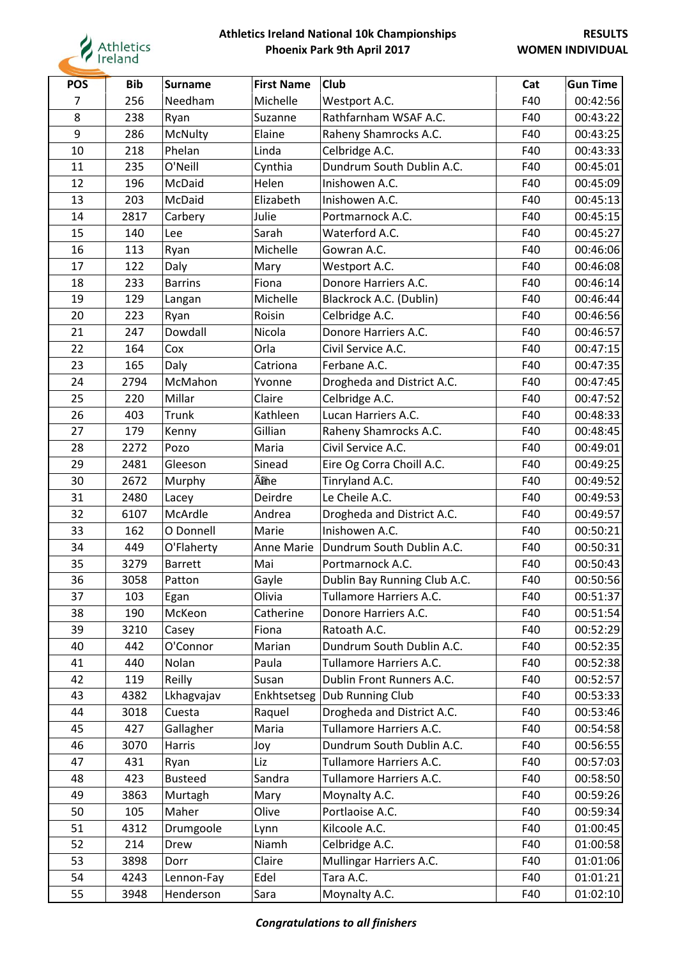

| <b>POS</b> | <b>Bib</b> | Surname        | <b>First Name</b> | Club                         | Cat | <b>Gun Time</b> |
|------------|------------|----------------|-------------------|------------------------------|-----|-----------------|
| 7          | 256        | Needham        | Michelle          | Westport A.C.                | F40 | 00:42:56        |
| 8          | 238        | Ryan           | Suzanne           | Rathfarnham WSAF A.C.        | F40 | 00:43:22        |
| 9          | 286        | McNulty        | Elaine            | Raheny Shamrocks A.C.        | F40 | 00:43:25        |
| 10         | 218        | Phelan         | Linda             | Celbridge A.C.               | F40 | 00:43:33        |
| 11         | 235        | O'Neill        | Cynthia           | Dundrum South Dublin A.C.    | F40 | 00:45:01        |
| 12         | 196        | McDaid         | Helen             | Inishowen A.C.               | F40 | 00:45:09        |
| 13         | 203        | McDaid         | Elizabeth         | Inishowen A.C.               | F40 | 00:45:13        |
| 14         | 2817       | Carbery        | Julie             | Portmarnock A.C.             | F40 | 00:45:15        |
| 15         | 140        | Lee            | Sarah             | Waterford A.C.               | F40 | 00:45:27        |
| 16         | 113        | Ryan           | Michelle          | Gowran A.C.                  | F40 | 00:46:06        |
| 17         | 122        | Daly           | Mary              | Westport A.C.                | F40 | 00:46:08        |
| 18         | 233        | <b>Barrins</b> | Fiona             | Donore Harriers A.C.         | F40 | 00:46:14        |
| 19         | 129        | Langan         | Michelle          | Blackrock A.C. (Dublin)      | F40 | 00:46:44        |
| 20         | 223        | Ryan           | Roisin            | Celbridge A.C.               | F40 | 00:46:56        |
| 21         | 247        | Dowdall        | Nicola            | Donore Harriers A.C.         | F40 | 00:46:57        |
| 22         | 164        | Cox            | Orla              | Civil Service A.C.           | F40 | 00:47:15        |
| 23         | 165        | Daly           | Catriona          | Ferbane A.C.                 | F40 | 00:47:35        |
| 24         | 2794       | McMahon        | Yvonne            | Drogheda and District A.C.   | F40 | 00:47:45        |
| 25         | 220        | Millar         | Claire            | Celbridge A.C.               | F40 | 00:47:52        |
| 26         | 403        | Trunk          | Kathleen          | Lucan Harriers A.C.          | F40 | 00:48:33        |
| 27         | 179        | Kenny          | Gillian           | Raheny Shamrocks A.C.        | F40 | 00:48:45        |
| 28         | 2272       | Pozo           | Maria             | Civil Service A.C.           | F40 | 00:49:01        |
| 29         | 2481       | Gleeson        | Sinead            | Eire Og Corra Choill A.C.    | F40 | 00:49:25        |
| 30         | 2672       | Murphy         | Ãine              | Tinryland A.C.               | F40 | 00:49:52        |
| 31         | 2480       | Lacey          | Deirdre           | Le Cheile A.C.               | F40 | 00:49:53        |
| 32         | 6107       | McArdle        | Andrea            | Drogheda and District A.C.   | F40 | 00:49:57        |
| 33         | 162        | O Donnell      | Marie             | Inishowen A.C.               | F40 | 00:50:21        |
| 34         | 449        | O'Flaherty     | Anne Marie        | Dundrum South Dublin A.C.    | F40 | 00:50:31        |
| 35         | 3279       | <b>Barrett</b> | Mai               | Portmarnock A.C.             | F40 | 00:50:43        |
| 36         | 3058       | Patton         | Gayle             | Dublin Bay Running Club A.C. | F40 | 00:50:56        |
| 37         | 103        | Egan           | Olivia            | Tullamore Harriers A.C.      | F40 | 00:51:37        |
| 38         | 190        | McKeon         | Catherine         | Donore Harriers A.C.         | F40 | 00:51:54        |
| 39         | 3210       | Casey          | Fiona             | Ratoath A.C.                 | F40 | 00:52:29        |
| 40         | 442        | O'Connor       | Marian            | Dundrum South Dublin A.C.    | F40 | 00:52:35        |
| 41         | 440        | Nolan          | Paula             | Tullamore Harriers A.C.      | F40 | 00:52:38        |
| 42         | 119        | Reilly         | Susan             | Dublin Front Runners A.C.    | F40 | 00:52:57        |
| 43         | 4382       | Lkhagvajav     |                   | Enkhtsetseg Dub Running Club | F40 | 00:53:33        |
| 44         | 3018       | Cuesta         | Raquel            | Drogheda and District A.C.   | F40 | 00:53:46        |
| 45         | 427        | Gallagher      | Maria             | Tullamore Harriers A.C.      | F40 | 00:54:58        |
| 46         | 3070       | Harris         | Joy               | Dundrum South Dublin A.C.    | F40 | 00:56:55        |
| 47         | 431        | Ryan           | Liz               | Tullamore Harriers A.C.      | F40 | 00:57:03        |
| 48         | 423        | <b>Busteed</b> | Sandra            | Tullamore Harriers A.C.      | F40 | 00:58:50        |
| 49         | 3863       | Murtagh        | Mary              | Moynalty A.C.                | F40 | 00:59:26        |
| 50         | 105        | Maher          | Olive             | Portlaoise A.C.              | F40 | 00:59:34        |
| 51         | 4312       | Drumgoole      | Lynn              | Kilcoole A.C.                | F40 | 01:00:45        |
| 52         | 214        | Drew           | Niamh             | Celbridge A.C.               | F40 | 01:00:58        |
| 53         | 3898       | Dorr           | Claire            | Mullingar Harriers A.C.      | F40 | 01:01:06        |
| 54         | 4243       | Lennon-Fay     | Edel              | Tara A.C.                    | F40 | 01:01:21        |
| 55         | 3948       | Henderson      | Sara              | Moynalty A.C.                | F40 | 01:02:10        |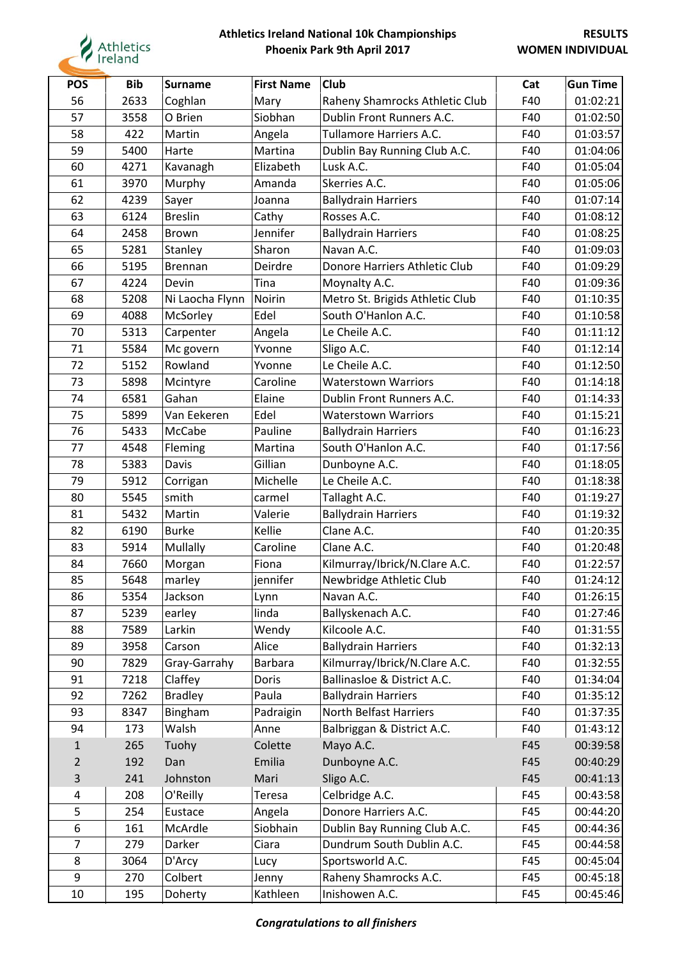

| <b>POS</b>     | <b>Bib</b> | <b>Surname</b>  | <b>First Name</b> | <b>Club</b>                     | Cat | <b>Gun Time</b> |
|----------------|------------|-----------------|-------------------|---------------------------------|-----|-----------------|
| 56             | 2633       | Coghlan         | Mary              | Raheny Shamrocks Athletic Club  | F40 | 01:02:21        |
| 57             | 3558       | O Brien         | Siobhan           | Dublin Front Runners A.C.       | F40 | 01:02:50        |
| 58             | 422        | Martin          | Angela            | <b>Tullamore Harriers A.C.</b>  | F40 | 01:03:57        |
| 59             | 5400       | Harte           | Martina           | Dublin Bay Running Club A.C.    | F40 | 01:04:06        |
| 60             | 4271       | Kavanagh        | Elizabeth         | Lusk A.C.                       | F40 | 01:05:04        |
| 61             | 3970       | Murphy          | Amanda            | Skerries A.C.                   | F40 | 01:05:06        |
| 62             | 4239       | Sayer           | Joanna            | <b>Ballydrain Harriers</b>      | F40 | 01:07:14        |
| 63             | 6124       | <b>Breslin</b>  | Cathy             | Rosses A.C.                     | F40 | 01:08:12        |
| 64             | 2458       | Brown           | Jennifer          | <b>Ballydrain Harriers</b>      | F40 | 01:08:25        |
| 65             | 5281       | Stanley         | Sharon            | Navan A.C.                      | F40 | 01:09:03        |
| 66             | 5195       | <b>Brennan</b>  | Deirdre           | Donore Harriers Athletic Club   | F40 | 01:09:29        |
| 67             | 4224       | Devin           | Tina              | Moynalty A.C.                   | F40 | 01:09:36        |
| 68             | 5208       | Ni Laocha Flynn | <b>Noirin</b>     | Metro St. Brigids Athletic Club | F40 | 01:10:35        |
| 69             | 4088       | McSorley        | Edel              | South O'Hanlon A.C.             | F40 | 01:10:58        |
| 70             | 5313       | Carpenter       | Angela            | Le Cheile A.C.                  | F40 | 01:11:12        |
| 71             | 5584       | Mc govern       | Yvonne            | Sligo A.C.                      | F40 | 01:12:14        |
| 72             | 5152       | Rowland         | Yvonne            | Le Cheile A.C.                  | F40 | 01:12:50        |
| 73             | 5898       | Mcintyre        | Caroline          | <b>Waterstown Warriors</b>      | F40 | 01:14:18        |
| 74             | 6581       | Gahan           | Elaine            | Dublin Front Runners A.C.       | F40 | 01:14:33        |
| 75             | 5899       | Van Eekeren     | Edel              | <b>Waterstown Warriors</b>      | F40 | 01:15:21        |
| 76             | 5433       | McCabe          | Pauline           | <b>Ballydrain Harriers</b>      | F40 | 01:16:23        |
| 77             | 4548       | Fleming         | Martina           | South O'Hanlon A.C.             | F40 | 01:17:56        |
| 78             | 5383       | Davis           | Gillian           | Dunboyne A.C.                   | F40 | 01:18:05        |
| 79             | 5912       | Corrigan        | Michelle          | Le Cheile A.C.                  | F40 | 01:18:38        |
| 80             | 5545       | smith           | carmel            | Tallaght A.C.                   | F40 | 01:19:27        |
| 81             | 5432       | Martin          | Valerie           | <b>Ballydrain Harriers</b>      | F40 | 01:19:32        |
| 82             | 6190       | <b>Burke</b>    | Kellie            | Clane A.C.                      | F40 | 01:20:35        |
| 83             | 5914       | Mullally        | Caroline          | Clane A.C.                      | F40 | 01:20:48        |
| 84             | 7660       | Morgan          | Fiona             | Kilmurray/Ibrick/N.Clare A.C.   | F40 | 01:22:57        |
| 85             | 5648       | marley          | jennifer          | Newbridge Athletic Club         | F40 | 01:24:12        |
| 86             | 5354       | Jackson         | Lynn              | Navan A.C.                      | F40 | 01:26:15        |
| 87             | 5239       | earley          | linda             | Ballyskenach A.C.               | F40 | 01:27:46        |
| 88             | 7589       | Larkin          | Wendy             | Kilcoole A.C.                   | F40 | 01:31:55        |
| 89             | 3958       | Carson          | Alice             | <b>Ballydrain Harriers</b>      | F40 | 01:32:13        |
| 90             | 7829       | Gray-Garrahy    | Barbara           | Kilmurray/Ibrick/N.Clare A.C.   | F40 | 01:32:55        |
| 91             | 7218       | Claffey         | Doris             | Ballinasloe & District A.C.     | F40 | 01:34:04        |
| 92             | 7262       | <b>Bradley</b>  | Paula             | <b>Ballydrain Harriers</b>      | F40 | 01:35:12        |
| 93             | 8347       | Bingham         | Padraigin         | North Belfast Harriers          | F40 | 01:37:35        |
| 94             | 173        | Walsh           | Anne              | Balbriggan & District A.C.      | F40 | 01:43:12        |
| $\mathbf{1}$   | 265        | Tuohy           | Colette           | Mayo A.C.                       | F45 | 00:39:58        |
| $\overline{2}$ | 192        | Dan             | Emilia            | Dunboyne A.C.                   | F45 | 00:40:29        |
| $\mathsf{3}$   | 241        | Johnston        | Mari              | Sligo A.C.                      | F45 | 00:41:13        |
| 4              | 208        | O'Reilly        | Teresa            | Celbridge A.C.                  | F45 | 00:43:58        |
| 5              | 254        | Eustace         | Angela            | Donore Harriers A.C.            | F45 | 00:44:20        |
| 6              | 161        | McArdle         | Siobhain          | Dublin Bay Running Club A.C.    | F45 | 00:44:36        |
| $\overline{7}$ | 279        | Darker          | Ciara             | Dundrum South Dublin A.C.       | F45 | 00:44:58        |
| 8              | 3064       | D'Arcy          | Lucy              | Sportsworld A.C.                | F45 | 00:45:04        |
| 9              | 270        | Colbert         | Jenny             | Raheny Shamrocks A.C.           | F45 | 00:45:18        |
| $10\,$         | 195        | Doherty         | Kathleen          | Inishowen A.C.                  | F45 | 00:45:46        |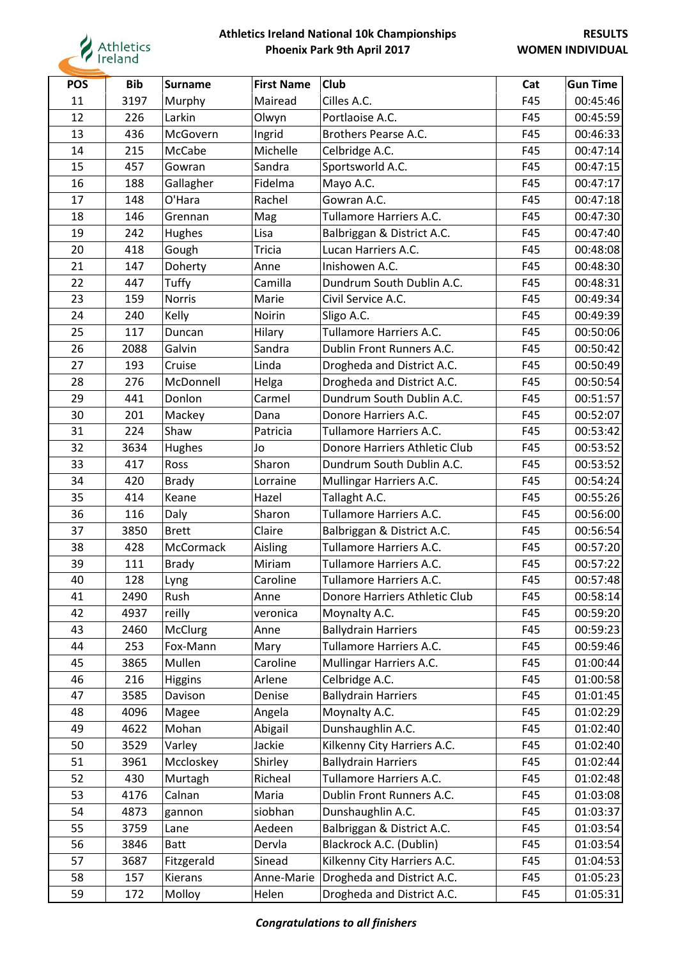

| <b>POS</b> | <b>Bib</b> | <b>Surname</b> | <b>First Name</b> | <b>Club</b>                   | Cat | <b>Gun Time</b> |
|------------|------------|----------------|-------------------|-------------------------------|-----|-----------------|
| 11         | 3197       | Murphy         | Mairead           | Cilles A.C.                   | F45 | 00:45:46        |
| 12         | 226        | Larkin         | Olwyn             | Portlaoise A.C.               | F45 | 00:45:59        |
| 13         | 436        | McGovern       | Ingrid            | Brothers Pearse A.C.          | F45 | 00:46:33        |
| 14         | 215        | McCabe         | Michelle          | Celbridge A.C.                | F45 | 00:47:14        |
| 15         | 457        | Gowran         | Sandra            | Sportsworld A.C.              | F45 | 00:47:15        |
| 16         | 188        | Gallagher      | Fidelma           | Mayo A.C.                     | F45 | 00:47:17        |
| 17         | 148        | O'Hara         | Rachel            | Gowran A.C.                   | F45 | 00:47:18        |
| 18         | 146        | Grennan        | Mag               | Tullamore Harriers A.C.       | F45 | 00:47:30        |
| 19         | 242        | Hughes         | Lisa              | Balbriggan & District A.C.    | F45 | 00:47:40        |
| 20         | 418        | Gough          | Tricia            | Lucan Harriers A.C.           | F45 | 00:48:08        |
| 21         | 147        | Doherty        | Anne              | Inishowen A.C.                | F45 | 00:48:30        |
| 22         | 447        | Tuffy          | Camilla           | Dundrum South Dublin A.C.     | F45 | 00:48:31        |
| 23         | 159        | <b>Norris</b>  | Marie             | Civil Service A.C.            | F45 | 00:49:34        |
| 24         | 240        | Kelly          | Noirin            | Sligo A.C.                    | F45 | 00:49:39        |
| 25         | 117        | Duncan         | Hilary            | Tullamore Harriers A.C.       | F45 | 00:50:06        |
| 26         | 2088       | Galvin         | Sandra            | Dublin Front Runners A.C.     | F45 | 00:50:42        |
| 27         | 193        | Cruise         | Linda             | Drogheda and District A.C.    | F45 | 00:50:49        |
| 28         | 276        | McDonnell      | Helga             | Drogheda and District A.C.    | F45 | 00:50:54        |
| 29         | 441        | Donlon         | Carmel            | Dundrum South Dublin A.C.     | F45 | 00:51:57        |
| 30         | 201        | Mackey         | Dana              | Donore Harriers A.C.          | F45 | 00:52:07        |
| 31         | 224        | Shaw           | Patricia          | Tullamore Harriers A.C.       | F45 | 00:53:42        |
| 32         | 3634       | <b>Hughes</b>  | Jo                | Donore Harriers Athletic Club | F45 | 00:53:52        |
| 33         | 417        | Ross           | Sharon            | Dundrum South Dublin A.C.     | F45 | 00:53:52        |
| 34         | 420        | <b>Brady</b>   | Lorraine          | Mullingar Harriers A.C.       | F45 | 00:54:24        |
| 35         | 414        | Keane          | Hazel             | Tallaght A.C.                 | F45 | 00:55:26        |
| 36         | 116        | Daly           | Sharon            | Tullamore Harriers A.C.       | F45 | 00:56:00        |
| 37         | 3850       | <b>Brett</b>   | Claire            | Balbriggan & District A.C.    | F45 | 00:56:54        |
| 38         | 428        | McCormack      | Aisling           | Tullamore Harriers A.C.       | F45 | 00:57:20        |
| 39         | 111        | <b>Brady</b>   | Miriam            | Tullamore Harriers A.C.       | F45 | 00:57:22        |
| 40         | 128        | Lyng           | Caroline          | Tullamore Harriers A.C.       | F45 | 00:57:48        |
| 41         | 2490       | Rush           | Anne              | Donore Harriers Athletic Club | F45 | 00:58:14        |
| 42         | 4937       | reilly         | veronica          | Moynalty A.C.                 | F45 | 00:59:20        |
| 43         | 2460       | McClurg        | Anne              | <b>Ballydrain Harriers</b>    | F45 | 00:59:23        |
| 44         | 253        | Fox-Mann       | Mary              | Tullamore Harriers A.C.       | F45 | 00:59:46        |
| 45         | 3865       | Mullen         | Caroline          | Mullingar Harriers A.C.       | F45 | 01:00:44        |
| 46         | 216        | <b>Higgins</b> | Arlene            | Celbridge A.C.                | F45 | 01:00:58        |
| 47         | 3585       | Davison        | Denise            | <b>Ballydrain Harriers</b>    | F45 | 01:01:45        |
| 48         | 4096       | Magee          | Angela            | Moynalty A.C.                 | F45 | 01:02:29        |
| 49         | 4622       | Mohan          | Abigail           | Dunshaughlin A.C.             | F45 | 01:02:40        |
| 50         | 3529       | Varley         | Jackie            | Kilkenny City Harriers A.C.   | F45 | 01:02:40        |
| 51         | 3961       | Mccloskey      | Shirley           | <b>Ballydrain Harriers</b>    | F45 | 01:02:44        |
| 52         | 430        | Murtagh        | Richeal           | Tullamore Harriers A.C.       | F45 | 01:02:48        |
| 53         | 4176       | Calnan         | Maria             | Dublin Front Runners A.C.     | F45 | 01:03:08        |
| 54         | 4873       | gannon         | siobhan           | Dunshaughlin A.C.             | F45 | 01:03:37        |
| 55         | 3759       | Lane           | Aedeen            | Balbriggan & District A.C.    | F45 | 01:03:54        |
| 56         | 3846       | <b>Batt</b>    | Dervla            | Blackrock A.C. (Dublin)       | F45 | 01:03:54        |
| 57         | 3687       | Fitzgerald     | Sinead            | Kilkenny City Harriers A.C.   | F45 | 01:04:53        |
| 58         | 157        | Kierans        | Anne-Marie        | Drogheda and District A.C.    | F45 | 01:05:23        |
| 59         | 172        | Molloy         | Helen             | Drogheda and District A.C.    | F45 | 01:05:31        |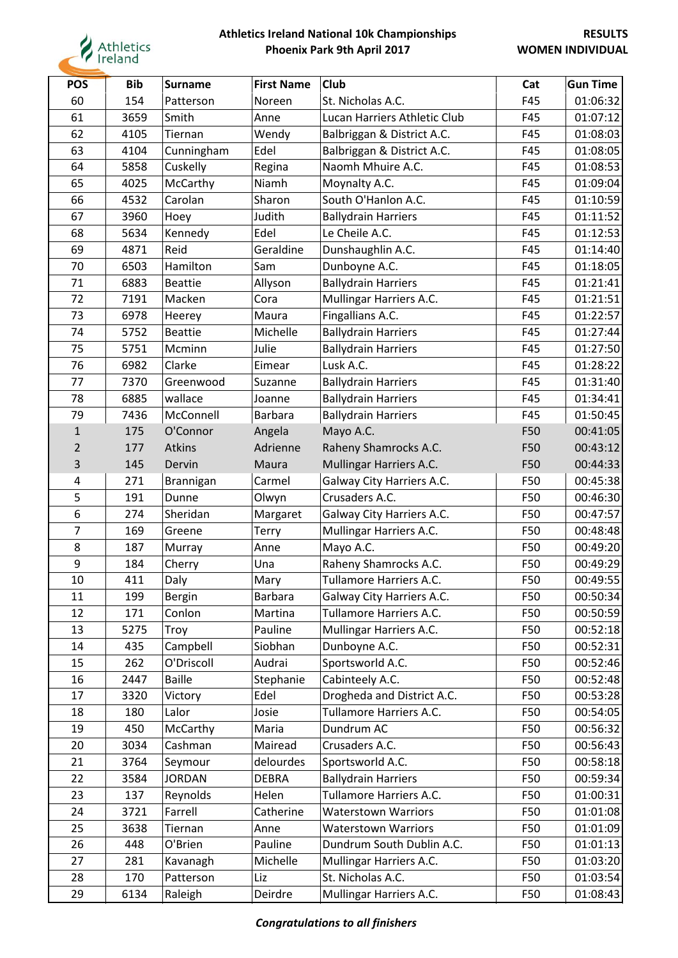

| <b>POS</b>     | <b>Bib</b> | <b>Surname</b> | <b>First Name</b> | <b>Club</b>                  | Cat | <b>Gun Time</b> |
|----------------|------------|----------------|-------------------|------------------------------|-----|-----------------|
| 60             | 154        | Patterson      | Noreen            | St. Nicholas A.C.            | F45 | 01:06:32        |
| 61             | 3659       | Smith          | Anne              | Lucan Harriers Athletic Club | F45 | 01:07:12        |
| 62             | 4105       | Tiernan        | Wendy             | Balbriggan & District A.C.   | F45 | 01:08:03        |
| 63             | 4104       | Cunningham     | Edel              | Balbriggan & District A.C.   | F45 | 01:08:05        |
| 64             | 5858       | Cuskelly       | Regina            | Naomh Mhuire A.C.            | F45 | 01:08:53        |
| 65             | 4025       | McCarthy       | Niamh             | Moynalty A.C.                | F45 | 01:09:04        |
| 66             | 4532       | Carolan        | Sharon            | South O'Hanlon A.C.          | F45 | 01:10:59        |
| 67             | 3960       | Hoey           | Judith            | <b>Ballydrain Harriers</b>   | F45 | 01:11:52        |
| 68             | 5634       | Kennedy        | Edel              | Le Cheile A.C.               | F45 | 01:12:53        |
| 69             | 4871       | Reid           | Geraldine         | Dunshaughlin A.C.            | F45 | 01:14:40        |
| 70             | 6503       | Hamilton       | Sam               | Dunboyne A.C.                | F45 | 01:18:05        |
| 71             | 6883       | <b>Beattie</b> | Allyson           | <b>Ballydrain Harriers</b>   | F45 | 01:21:41        |
| 72             | 7191       | Macken         | Cora              | Mullingar Harriers A.C.      | F45 | 01:21:51        |
| 73             | 6978       | Heerey         | Maura             | Fingallians A.C.             | F45 | 01:22:57        |
| 74             | 5752       | <b>Beattie</b> | Michelle          | <b>Ballydrain Harriers</b>   | F45 | 01:27:44        |
| 75             | 5751       | Mcminn         | Julie             | <b>Ballydrain Harriers</b>   | F45 | 01:27:50        |
| 76             | 6982       | Clarke         | Eimear            | Lusk A.C.                    | F45 | 01:28:22        |
| 77             | 7370       | Greenwood      | Suzanne           | <b>Ballydrain Harriers</b>   | F45 | 01:31:40        |
| 78             | 6885       | wallace        | Joanne            | <b>Ballydrain Harriers</b>   | F45 | 01:34:41        |
| 79             | 7436       | McConnell      | <b>Barbara</b>    | <b>Ballydrain Harriers</b>   | F45 | 01:50:45        |
| $\mathbf{1}$   | 175        | O'Connor       | Angela            | Mayo A.C.                    | F50 | 00:41:05        |
| $\overline{2}$ | 177        | Atkins         | Adrienne          | Raheny Shamrocks A.C.        | F50 | 00:43:12        |
| 3              | 145        | Dervin         | Maura             | Mullingar Harriers A.C.      | F50 | 00:44:33        |
| 4              | 271        | Brannigan      | Carmel            | Galway City Harriers A.C.    | F50 | 00:45:38        |
| 5              | 191        | Dunne          | Olwyn             | Crusaders A.C.               | F50 | 00:46:30        |
| 6              | 274        | Sheridan       | Margaret          | Galway City Harriers A.C.    | F50 | 00:47:57        |
| $\overline{7}$ | 169        | Greene         | <b>Terry</b>      | Mullingar Harriers A.C.      | F50 | 00:48:48        |
| 8              | 187        | Murray         | Anne              | Mayo A.C.                    | F50 | 00:49:20        |
| 9              | 184        | Cherry         | Una               | Raheny Shamrocks A.C.        | F50 | 00:49:29        |
| 10             | 411        | Daly           | Mary              | Tullamore Harriers A.C.      | F50 | 00:49:55        |
| 11             | 199        | <b>Bergin</b>  | <b>Barbara</b>    | Galway City Harriers A.C.    | F50 | 00:50:34        |
| 12             | 171        | Conlon         | Martina           | Tullamore Harriers A.C.      | F50 | 00:50:59        |
| 13             | 5275       | Troy           | Pauline           | Mullingar Harriers A.C.      | F50 | 00:52:18        |
| 14             | 435        | Campbell       | Siobhan           | Dunboyne A.C.                | F50 | 00:52:31        |
| 15             | 262        | O'Driscoll     | Audrai            | Sportsworld A.C.             | F50 | 00:52:46        |
| 16             | 2447       | <b>Baille</b>  | Stephanie         | Cabinteely A.C.              | F50 | 00:52:48        |
| 17             | 3320       | Victory        | Edel              | Drogheda and District A.C.   | F50 | 00:53:28        |
| 18             | 180        | Lalor          | Josie             | Tullamore Harriers A.C.      | F50 | 00:54:05        |
| 19             | 450        | McCarthy       | Maria             | Dundrum AC                   | F50 | 00:56:32        |
| 20             | 3034       | Cashman        | Mairead           | Crusaders A.C.               | F50 | 00:56:43        |
| 21             | 3764       | Seymour        | delourdes         | Sportsworld A.C.             | F50 | 00:58:18        |
| 22             | 3584       | <b>JORDAN</b>  | <b>DEBRA</b>      | <b>Ballydrain Harriers</b>   | F50 | 00:59:34        |
| 23             | 137        | Reynolds       | Helen             | Tullamore Harriers A.C.      | F50 | 01:00:31        |
| 24             | 3721       | Farrell        | Catherine         | <b>Waterstown Warriors</b>   | F50 | 01:01:08        |
| 25             | 3638       | Tiernan        | Anne              | <b>Waterstown Warriors</b>   | F50 | 01:01:09        |
| 26             | 448        | O'Brien        | Pauline           | Dundrum South Dublin A.C.    | F50 | 01:01:13        |
| 27             | 281        | Kavanagh       | Michelle          | Mullingar Harriers A.C.      | F50 | 01:03:20        |
| 28             | 170        | Patterson      | Liz               | St. Nicholas A.C.            | F50 | 01:03:54        |
| 29             | 6134       | Raleigh        | Deirdre           | Mullingar Harriers A.C.      | F50 | 01:08:43        |